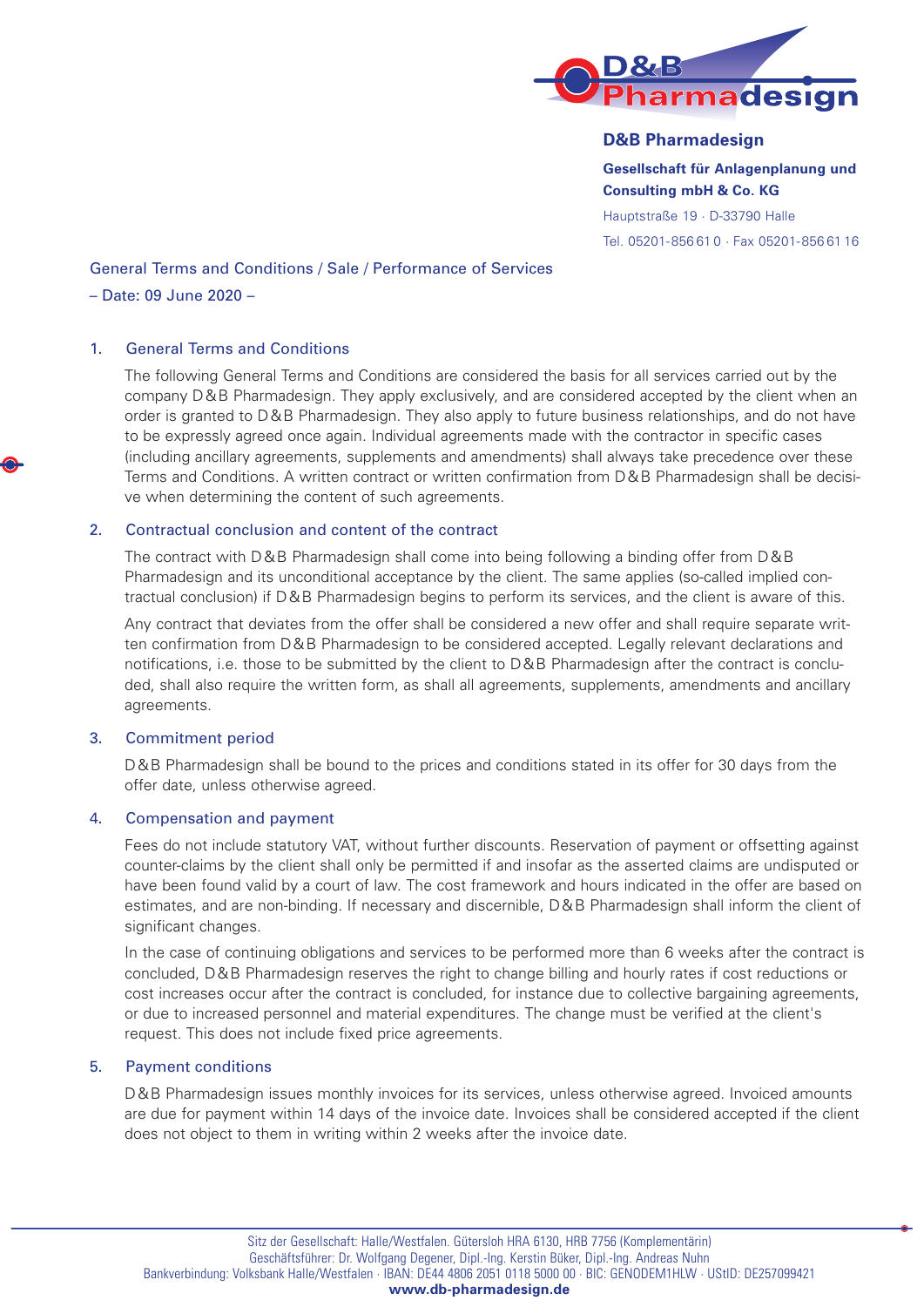

# **D&B Pharmadesign**

**Gesellschaft für Anlagenplanung und Consulting mbH & Co. KG**

Hauptstraße 19 · D-33790 Halle Tel. 05201-856 61 0 · Fax 05201-856 61 16

# General Terms and Conditions / Sale / Performance of Services

## – Date: 09 June 2020 –

### 1. General Terms and Conditions

The following General Terms and Conditions are considered the basis for all services carried out by the company D&B Pharmadesign. They apply exclusively, and are considered accepted by the client when an order is granted to D&B Pharmadesign. They also apply to future business relationships, and do not have to be expressly agreed once again. Individual agreements made with the contractor in specific cases (including ancillary agreements, supplements and amendments) shall always take precedence over these Terms and Conditions. A written contract or written confirmation from D&B Pharmadesign shall be decisive when determining the content of such agreements.

### 2. Contractual conclusion and content of the contract

The contract with D&B Pharmadesign shall come into being following a binding offer from D&B Pharmadesign and its unconditional acceptance by the client. The same applies (so-called implied contractual conclusion) if D&B Pharmadesign begins to perform its services, and the client is aware of this.

Any contract that deviates from the offer shall be considered a new offer and shall require separate written confirmation from D&B Pharmadesign to be considered accepted. Legally relevant declarations and notifications, i.e. those to be submitted by the client to D&B Pharmadesign after the contract is concluded, shall also require the written form, as shall all agreements, supplements, amendments and ancillary agreements.

### 3. Commitment period

D&B Pharmadesign shall be bound to the prices and conditions stated in its offer for 30 days from the offer date, unless otherwise agreed.

### 4. Compensation and payment

Fees do not include statutory VAT, without further discounts. Reservation of payment or offsetting against counter-claims by the client shall only be permitted if and insofar as the asserted claims are undisputed or have been found valid by a court of law. The cost framework and hours indicated in the offer are based on estimates, and are non-binding. If necessary and discernible, D&B Pharmadesign shall inform the client of significant changes.

In the case of continuing obligations and services to be performed more than 6 weeks after the contract is concluded, D&B Pharmadesign reserves the right to change billing and hourly rates if cost reductions or cost increases occur after the contract is concluded, for instance due to collective bargaining agreements, or due to increased personnel and material expenditures. The change must be verified at the client's request. This does not include fixed price agreements.

# 5. Payment conditions

D&B Pharmadesign issues monthly invoices for its services, unless otherwise agreed. Invoiced amounts are due for payment within 14 days of the invoice date. Invoices shall be considered accepted if the client does not object to them in writing within 2 weeks after the invoice date.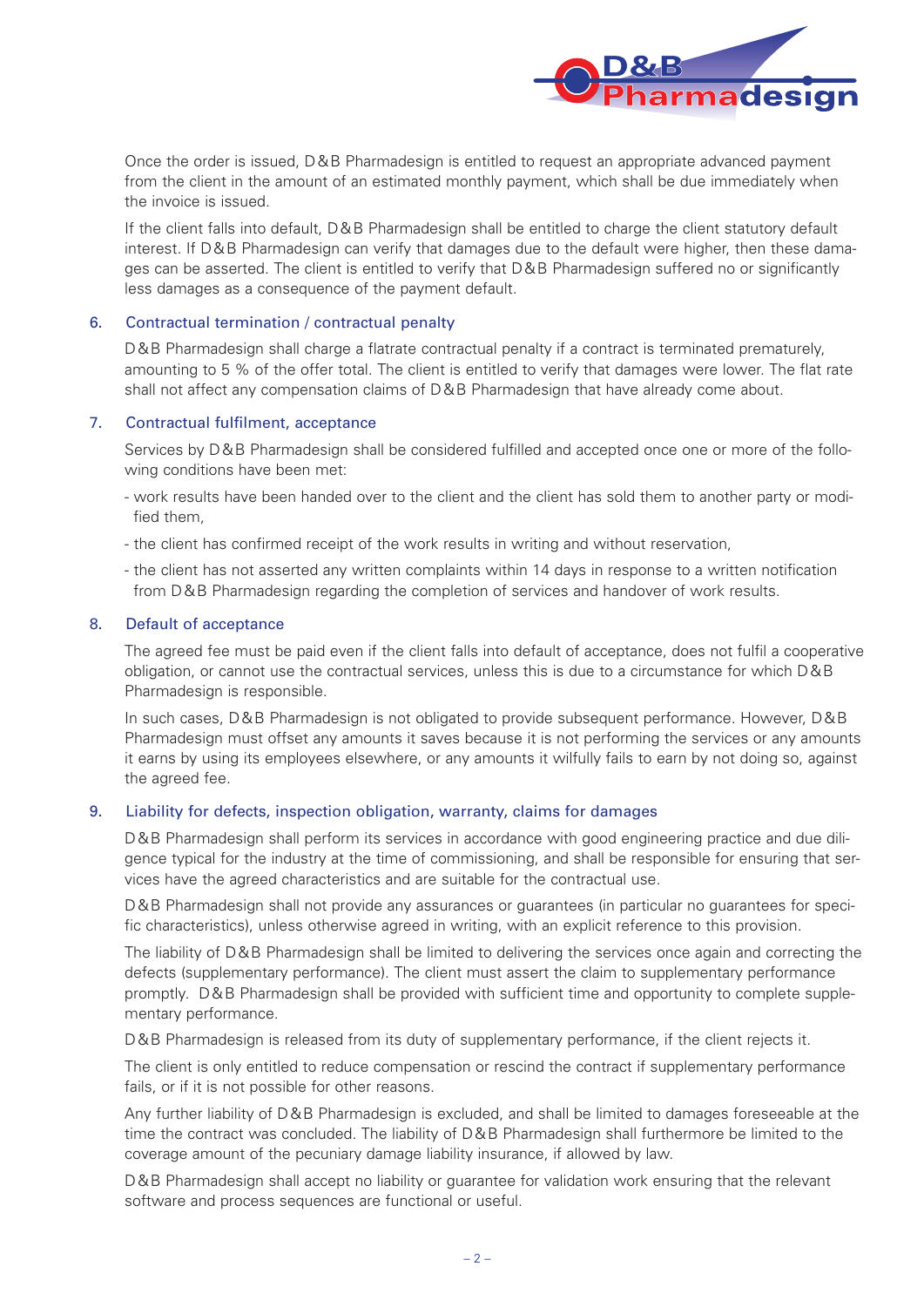

Once the order is issued, D&B Pharmadesign is entitled to request an appropriate advanced payment from the client in the amount of an estimated monthly payment, which shall be due immediately when the invoice is issued.

If the client falls into default, D&B Pharmadesign shall be entitled to charge the client statutory default interest. If D&B Pharmadesign can verify that damages due to the default were higher, then these damages can be asserted. The client is entitled to verify that D&B Pharmadesign suffered no or significantly less damages as a consequence of the payment default.

### 6. Contractual termination / contractual penalty

D&B Pharmadesign shall charge a flatrate contractual penalty if a contract is terminated prematurely, amounting to 5 % of the offer total. The client is entitled to verify that damages were lower. The flat rate shall not affect any compensation claims of D&B Pharmadesign that have already come about.

### 7. Contractual fulfilment, acceptance

Services by D&B Pharmadesign shall be considered fulfilled and accepted once one or more of the following conditions have been met:

- work results have been handed over to the client and the client has sold them to another party or modified them,
- the client has confirmed receipt of the work results in writing and without reservation,
- the client has not asserted any written complaints within 14 days in response to a written notification from D&B Pharmadesign regarding the completion of services and handover of work results.

### 8. Default of acceptance

The agreed fee must be paid even if the client falls into default of acceptance, does not fulfil a cooperative obligation, or cannot use the contractual services, unless this is due to a circumstance for which D&B Pharmadesign is responsible.

In such cases, D&B Pharmadesign is not obligated to provide subsequent performance. However, D&B Pharmadesign must offset any amounts it saves because it is not performing the services or any amounts it earns by using its employees elsewhere, or any amounts it wilfully fails to earn by not doing so, against the agreed fee.

### 9. Liability for defects, inspection obligation, warranty, claims for damages

D&B Pharmadesign shall perform its services in accordance with good engineering practice and due diligence typical for the industry at the time of commissioning, and shall be responsible for ensuring that services have the agreed characteristics and are suitable for the contractual use.

D&B Pharmadesign shall not provide any assurances or guarantees (in particular no guarantees for specific characteristics), unless otherwise agreed in writing, with an explicit reference to this provision.

The liability of D&B Pharmadesign shall be limited to delivering the services once again and correcting the defects (supplementary performance). The client must assert the claim to supplementary performance promptly. D&B Pharmadesign shall be provided with sufficient time and opportunity to complete supplementary performance.

D&B Pharmadesign is released from its duty of supplementary performance, if the client rejects it.

The client is only entitled to reduce compensation or rescind the contract if supplementary performance fails, or if it is not possible for other reasons.

Any further liability of D&B Pharmadesign is excluded, and shall be limited to damages foreseeable at the time the contract was concluded. The liability of D&B Pharmadesign shall furthermore be limited to the coverage amount of the pecuniary damage liability insurance, if allowed by law.

D&B Pharmadesign shall accept no liability or guarantee for validation work ensuring that the relevant software and process sequences are functional or useful.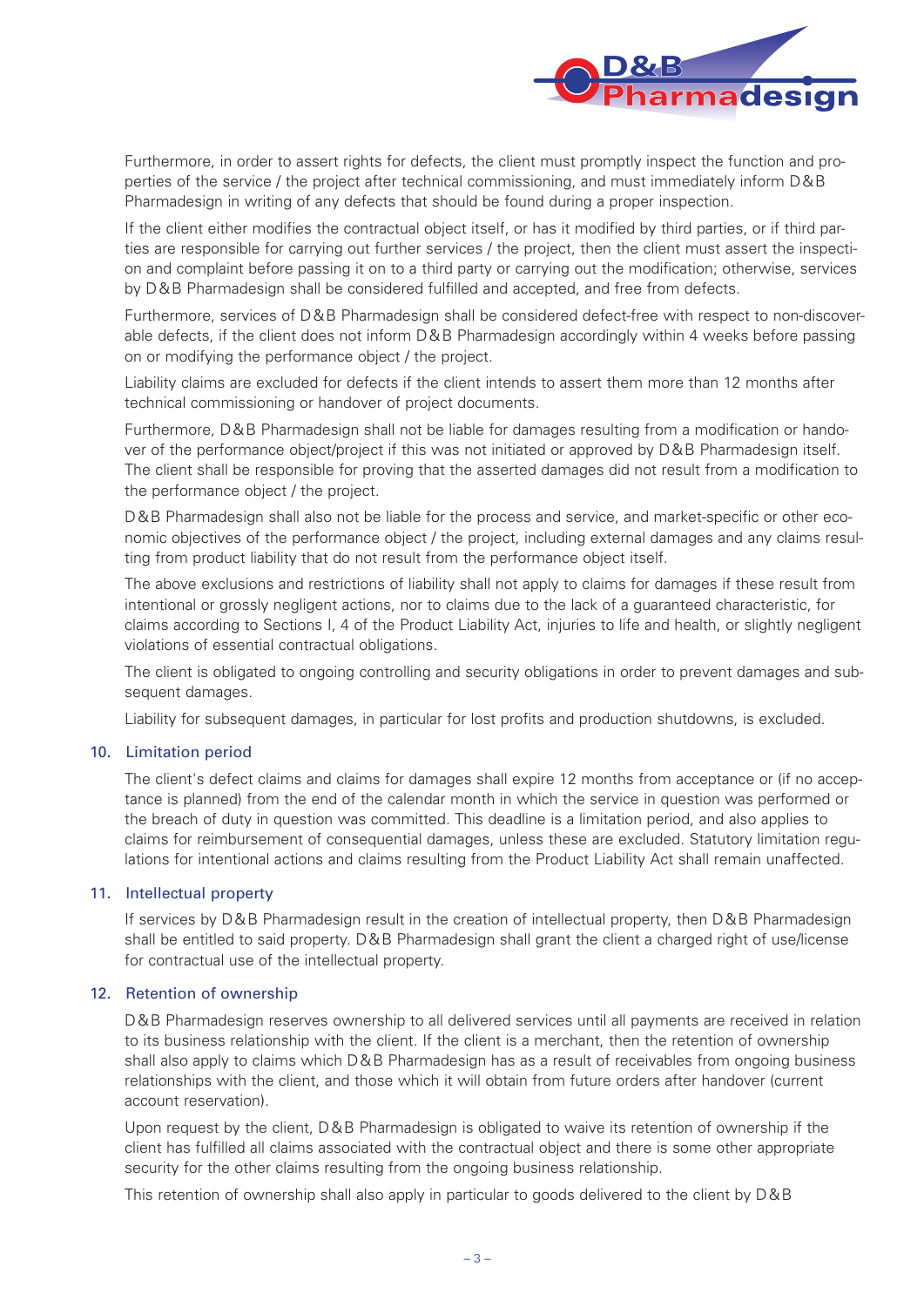

Furthermore, in order to assert rights for defects, the client must promptly inspect the function and properties of the service / the project after technical commissioning, and must immediately inform D&B Pharmadesign in writing of any defects that should be found during a proper inspection.

If the client either modifies the contractual object itself, or has it modified by third parties, or if third parties are responsible for carrying out further services / the project, then the client must assert the inspection and complaint before passing it on to a third party or carrying out the modification; otherwise, services by D&B Pharmadesign shall be considered fulfilled and accepted, and free from defects.

Furthermore, services of D&B Pharmadesign shall be considered defect-free with respect to non-discoverable defects, if the client does not inform D&B Pharmadesign accordingly within 4 weeks before passing on or modifying the performance object / the project.

Liability claims are excluded for defects if the client intends to assert them more than 12 months after technical commissioning or handover of project documents.

Furthermore, D&B Pharmadesign shall not be liable for damages resulting from a modification or handover of the performance object/project if this was not initiated or approved by D&B Pharmadesign itself. The client shall be responsible for proving that the asserted damages did not result from a modification to the performance object / the project.

D&B Pharmadesign shall also not be liable for the process and service, and market-specific or other economic objectives of the performance object / the project, including external damages and any claims resulting from product liability that do not result from the performance object itself.

The above exclusions and restrictions of liability shall not apply to claims for damages if these result from intentional or grossly negligent actions, nor to claims due to the lack of a guaranteed characteristic, for claims according to Sections I, 4 of the Product Liability Act, injuries to life and health, or slightly negligent violations of essential contractual obligations.

The client is obligated to ongoing controlling and security obligations in order to prevent damages and subsequent damages.

Liability for subsequent damages, in particular for lost profits and production shutdowns, is excluded.

### 10. Limitation period

The client's defect claims and claims for damages shall expire 12 months from acceptance or (if no acceptance is planned) from the end of the calendar month in which the service in question was performed or the breach of duty in question was committed. This deadline is a limitation period, and also applies to claims for reimbursement of consequential damages, unless these are excluded. Statutory limitation regulations for intentional actions and claims resulting from the Product Liability Act shall remain unaffected.

### 11. Intellectual property

If services by D&B Pharmadesign result in the creation of intellectual property, then D&B Pharmadesign shall be entitled to said property. D&B Pharmadesign shall grant the client a charged right of use/license for contractual use of the intellectual property.

### 12. Retention of ownership

D&B Pharmadesign reserves ownership to all delivered services until all payments are received in relation to its business relationship with the client. If the client is a merchant, then the retention of ownership shall also apply to claims which D&B Pharmadesign has as a result of receivables from ongoing business relationships with the client, and those which it will obtain from future orders after handover (current account reservation).

Upon request by the client, D&B Pharmadesign is obligated to waive its retention of ownership if the client has fulfilled all claims associated with the contractual object and there is some other appropriate security for the other claims resulting from the ongoing business relationship.

This retention of ownership shall also apply in particular to goods delivered to the client by D&B